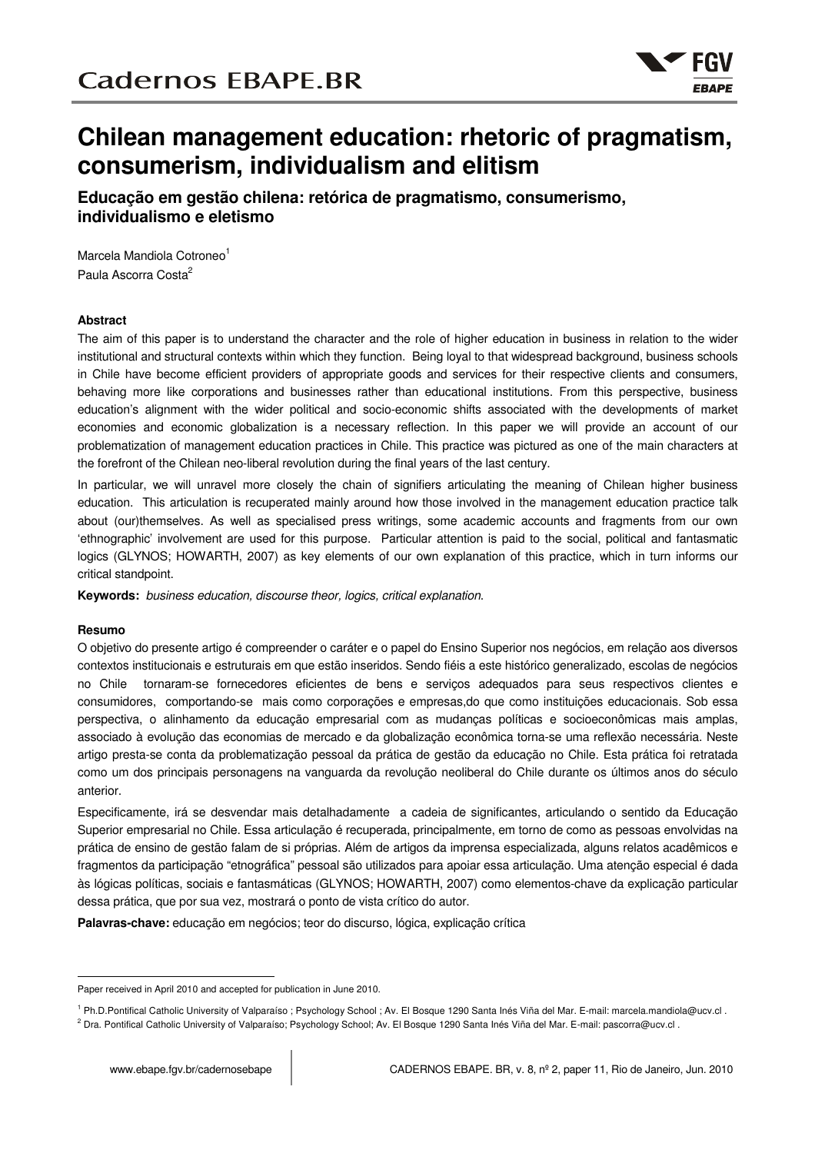# **Chilean management education: rhetoric of pragmatism, consumerism, individualism and elitism**

**Educação em gestão chilena: retórica de pragmatismo, consumerismo, individualismo e eletismo**

Marcela Mandiola Cotroneo<sup>1</sup> Paula Ascorra Costa<sup>2</sup>

#### **Abstract**

The aim of this paper is to understand the character and the role of higher education in business in relation to the wider institutional and structural contexts within which they function. Being loyal to that widespread background, business schools in Chile have become efficient providers of appropriate goods and services for their respective clients and consumers, behaving more like corporations and businesses rather than educational institutions. From this perspective, business education's alignment with the wider political and socio-economic shifts associated with the developments of market economies and economic globalization is a necessary reflection. In this paper we will provide an account of our problematization of management education practices in Chile. This practice was pictured as one of the main characters at the forefront of the Chilean neo-liberal revolution during the final years of the last century.

In particular, we will unravel more closely the chain of signifiers articulating the meaning of Chilean higher business education. This articulation is recuperated mainly around how those involved in the management education practice talk about (our)themselves. As well as specialised press writings, some academic accounts and fragments from our own 'ethnographic' involvement are used for this purpose. Particular attention is paid to the social, political and fantasmatic logics (GLYNOS; HOWARTH, 2007) as key elements of our own explanation of this practice, which in turn informs our critical standpoint.

**Keywords:** *business education, discourse theor, logics, critical explanation*.

#### **Resumo**

O objetivo do presente artigo é compreender o caráter e o papel do Ensino Superior nos negócios, em relação aos diversos contextos institucionais e estruturais em que estão inseridos. Sendo fiéis a este histórico generalizado, escolas de negócios no Chile tornaram-se fornecedores eficientes de bens e serviços adequados para seus respectivos clientes e consumidores, comportando-se mais como corporações e empresas,do que como instituições educacionais. Sob essa perspectiva, o alinhamento da educação empresarial com as mudanças políticas e socioeconômicas mais amplas, associado à evolução das economias de mercado e da globalização econômica torna-se uma reflexão necessária. Neste artigo presta-se conta da problematização pessoal da prática de gestão da educação no Chile. Esta prática foi retratada como um dos principais personagens na vanguarda da revolução neoliberal do Chile durante os últimos anos do século anterior.

Especificamente, irá se desvendar mais detalhadamente a cadeia de significantes, articulando o sentido da Educação Superior empresarial no Chile. Essa articulação é recuperada, principalmente, em torno de como as pessoas envolvidas na prática de ensino de gestão falam de si próprias. Além de artigos da imprensa especializada, alguns relatos acadêmicos e fragmentos da participação "etnográfica" pessoal são utilizados para apoiar essa articulação. Uma atenção especial é dada às lógicas políticas, sociais e fantasmáticas (GLYNOS; HOWARTH, 2007) como elementos-chave da explicação particular dessa prática, que por sua vez, mostrará o ponto de vista crítico do autor.

**Palavras-chave:** educação em negócios; teor do discurso, lógica, explicação crítica

Paper received in April 2010 and accepted for publication in June 2010.

<sup>1</sup> Ph.D.Pontifical Catholic University of Valparaíso ; Psychology School ; Av. El Bosque 1290 Santa Inés Viña del Mar. E-mail: marcela.mandiola@ucv.cl .

<sup>2</sup> Dra. Pontifical Catholic University of Valparaíso; Psychology School; Av. El Bosque 1290 Santa Inés Viña del Mar. E-mail: pascorra@ucv.cl .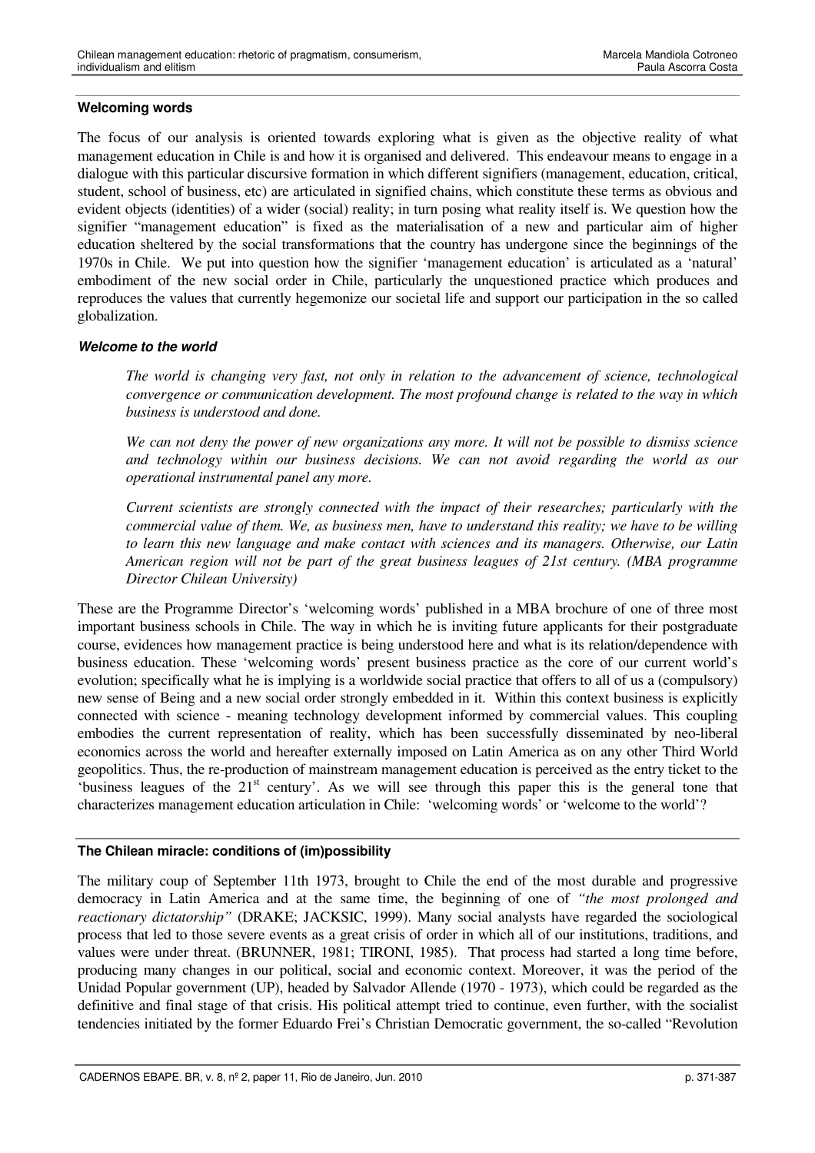#### **Welcoming words**

The focus of our analysis is oriented towards exploring what is given as the objective reality of what management education in Chile is and how it is organised and delivered. This endeavour means to engage in a dialogue with this particular discursive formation in which different signifiers (management, education, critical, student, school of business, etc) are articulated in signified chains, which constitute these terms as obvious and evident objects (identities) of a wider (social) reality; in turn posing what reality itself is. We question how the signifier "management education" is fixed as the materialisation of a new and particular aim of higher education sheltered by the social transformations that the country has undergone since the beginnings of the 1970s in Chile. We put into question how the signifier 'management education' is articulated as a 'natural' embodiment of the new social order in Chile, particularly the unquestioned practice which produces and reproduces the values that currently hegemonize our societal life and support our participation in the so called globalization.

#### *Welcome to the world*

*The world is changing very fast, not only in relation to the advancement of science, technological convergence or communication development. The most profound change is related to the way in which business is understood and done.*

We can not deny the power of new organizations any more. It will not be possible to dismiss science *and technology within our business decisions. We can not avoid regarding the world as our operational instrumental panel any more.*

*Current scientists are strongly connected with the impact of their researches; particularly with the* commercial value of them. We, as business men, have to understand this reality; we have to be willing *to learn this new language and make contact with sciences and its managers. Otherwise, our Latin American region will not be part of the great business leagues of 21st century. (MBA programme Director Chilean University)*

These are the Programme Director's 'welcoming words' published in a MBA brochure of one of three most important business schools in Chile. The way in which he is inviting future applicants for their postgraduate course, evidences how management practice is being understood here and what is its relation/dependence with business education. These 'welcoming words' present business practice as the core of our current world's evolution; specifically what he is implying is a worldwide social practice that offers to all of us a (compulsory) new sense of Being and a new social order strongly embedded in it. Within this context business is explicitly connected with science - meaning technology development informed by commercial values. This coupling embodies the current representation of reality, which has been successfully disseminated by neo-liberal economics across the world and hereafter externally imposed on Latin America as on any other Third World geopolitics. Thus, the re-production of mainstream management education is perceived as the entry ticket to the 'business leagues of the 21<sup>st</sup> century'. As we will see through this paper this is the general tone that characterizes management education articulation in Chile: 'welcoming words' or 'welcome to the world'?

#### **The Chilean miracle: conditions of (im)possibility**

The military coup of September 11th 1973, brought to Chile the end of the most durable and progressive democracy in Latin America and at the same time, the beginning of one of *"the most prolonged and reactionary dictatorship"* (DRAKE; JACKSIC, 1999). Many social analysts have regarded the sociological process that led to those severe events as a great crisis of order in which all of our institutions, traditions, and values were under threat. (BRUNNER, 1981; TIRONI, 1985). That process had started a long time before, producing many changes in our political, social and economic context. Moreover, it was the period of the Unidad Popular government (UP), headed by Salvador Allende (1970 - 1973), which could be regarded as the definitive and final stage of that crisis. His political attempt tried to continue, even further, with the socialist tendencies initiated by the former Eduardo Frei's Christian Democratic government, the so-called "Revolution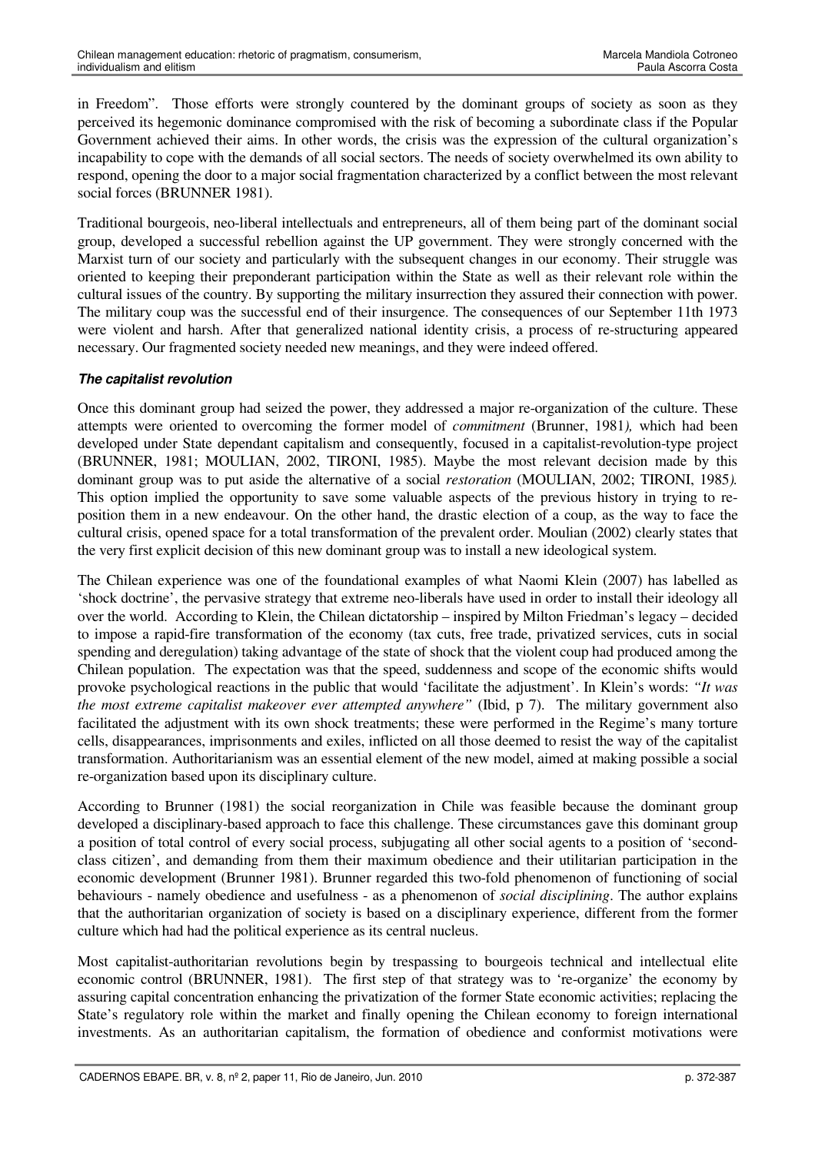in Freedom". Those efforts were strongly countered by the dominant groups of society as soon as they perceived its hegemonic dominance compromised with the risk of becoming a subordinate class if the Popular Government achieved their aims. In other words, the crisis was the expression of the cultural organization's incapability to cope with the demands of all social sectors. The needs of society overwhelmed its own ability to respond, opening the door to a major social fragmentation characterized by a conflict between the most relevant social forces (BRUNNER 1981).

Traditional bourgeois, neo-liberal intellectuals and entrepreneurs, all of them being part of the dominant social group, developed a successful rebellion against the UP government. They were strongly concerned with the Marxist turn of our society and particularly with the subsequent changes in our economy. Their struggle was oriented to keeping their preponderant participation within the State as well as their relevant role within the cultural issues of the country. By supporting the military insurrection they assured their connection with power. The military coup was the successful end of their insurgence. The consequences of our September 11th 1973 were violent and harsh. After that generalized national identity crisis, a process of re-structuring appeared necessary. Our fragmented society needed new meanings, and they were indeed offered.

# *The capitalist revolution*

Once this dominant group had seized the power, they addressed a major re-organization of the culture. These attempts were oriented to overcoming the former model of *commitment* (Brunner, 1981*),* which had been developed under State dependant capitalism and consequently, focused in a capitalist-revolution-type project (BRUNNER, 1981; MOULIAN, 2002, TIRONI, 1985). Maybe the most relevant decision made by this dominant group was to put aside the alternative of a social *restoration* (MOULIAN, 2002; TIRONI, 1985*).* This option implied the opportunity to save some valuable aspects of the previous history in trying to reposition them in a new endeavour. On the other hand, the drastic election of a coup, as the way to face the cultural crisis, opened space for a total transformation of the prevalent order. Moulian (2002) clearly states that the very first explicit decision of this new dominant group was to install a new ideological system.

The Chilean experience was one of the foundational examples of what Naomi Klein (2007) has labelled as 'shock doctrine', the pervasive strategy that extreme neo-liberals have used in order to install their ideology all over the world. According to Klein, the Chilean dictatorship – inspired by Milton Friedman's legacy – decided to impose a rapid-fire transformation of the economy (tax cuts, free trade, privatized services, cuts in social spending and deregulation) taking advantage of the state of shock that the violent coup had produced among the Chilean population. The expectation was that the speed, suddenness and scope of the economic shifts would provoke psychological reactions in the public that would 'facilitate the adjustment'. In Klein's words: *"It was the most extreme capitalist makeover ever attempted anywhere"* (Ibid, p 7). The military government also facilitated the adjustment with its own shock treatments; these were performed in the Regime's many torture cells, disappearances, imprisonments and exiles, inflicted on all those deemed to resist the way of the capitalist transformation. Authoritarianism was an essential element of the new model, aimed at making possible a social re-organization based upon its disciplinary culture.

According to Brunner (1981) the social reorganization in Chile was feasible because the dominant group developed a disciplinary-based approach to face this challenge. These circumstances gave this dominant group a position of total control of every social process, subjugating all other social agents to a position of 'secondclass citizen', and demanding from them their maximum obedience and their utilitarian participation in the economic development (Brunner 1981). Brunner regarded this two-fold phenomenon of functioning of social behaviours - namely obedience and usefulness - as a phenomenon of *social disciplining*. The author explains that the authoritarian organization of society is based on a disciplinary experience, different from the former culture which had had the political experience as its central nucleus.

Most capitalist-authoritarian revolutions begin by trespassing to bourgeois technical and intellectual elite economic control (BRUNNER, 1981). The first step of that strategy was to 're-organize' the economy by assuring capital concentration enhancing the privatization of the former State economic activities; replacing the State's regulatory role within the market and finally opening the Chilean economy to foreign international investments. As an authoritarian capitalism, the formation of obedience and conformist motivations were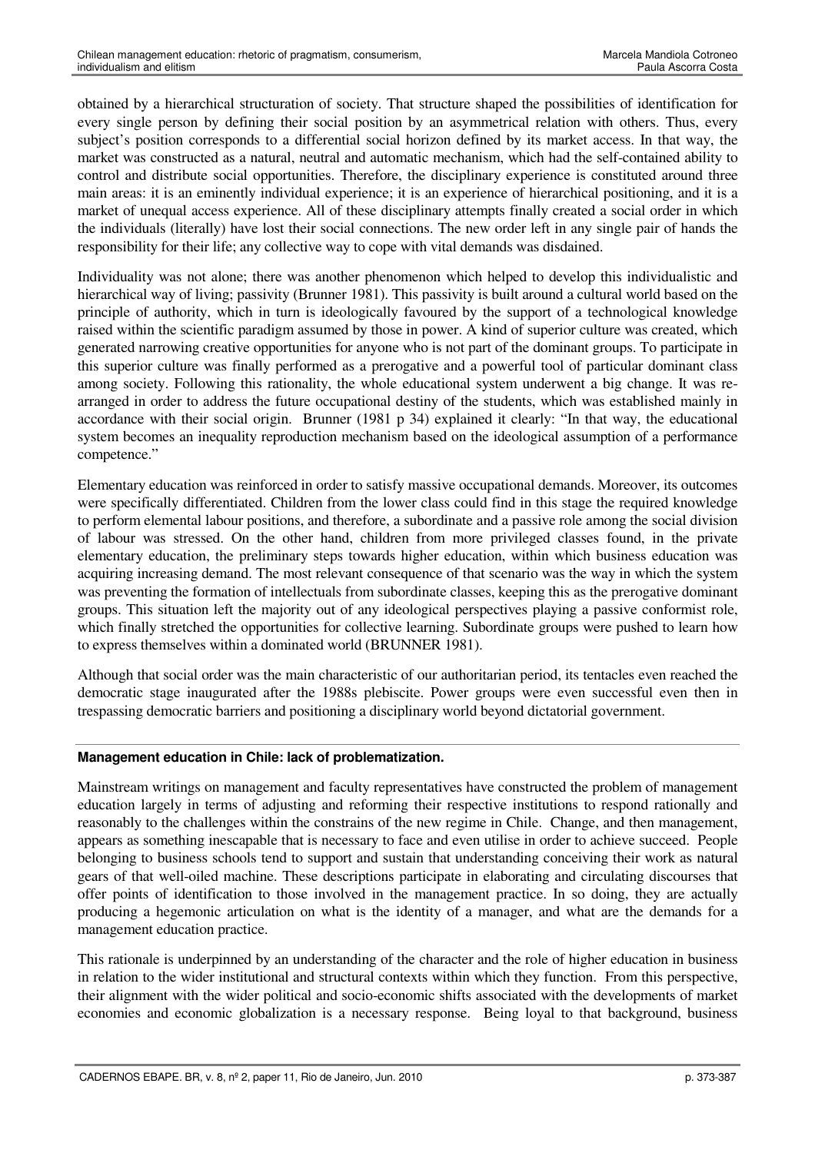obtained by a hierarchical structuration of society. That structure shaped the possibilities of identification for every single person by defining their social position by an asymmetrical relation with others. Thus, every subject's position corresponds to a differential social horizon defined by its market access. In that way, the market was constructed as a natural, neutral and automatic mechanism, which had the self-contained ability to control and distribute social opportunities. Therefore, the disciplinary experience is constituted around three main areas: it is an eminently individual experience; it is an experience of hierarchical positioning, and it is a market of unequal access experience. All of these disciplinary attempts finally created a social order in which the individuals (literally) have lost their social connections. The new order left in any single pair of hands the responsibility for their life; any collective way to cope with vital demands was disdained.

Individuality was not alone; there was another phenomenon which helped to develop this individualistic and hierarchical way of living; passivity (Brunner 1981). This passivity is built around a cultural world based on the principle of authority, which in turn is ideologically favoured by the support of a technological knowledge raised within the scientific paradigm assumed by those in power. A kind of superior culture was created, which generated narrowing creative opportunities for anyone who is not part of the dominant groups. To participate in this superior culture was finally performed as a prerogative and a powerful tool of particular dominant class among society. Following this rationality, the whole educational system underwent a big change. It was rearranged in order to address the future occupational destiny of the students, which was established mainly in accordance with their social origin. Brunner (1981 p 34) explained it clearly: "In that way, the educational system becomes an inequality reproduction mechanism based on the ideological assumption of a performance competence."

Elementary education was reinforced in order to satisfy massive occupational demands. Moreover, its outcomes were specifically differentiated. Children from the lower class could find in this stage the required knowledge to perform elemental labour positions, and therefore, a subordinate and a passive role among the social division of labour was stressed. On the other hand, children from more privileged classes found, in the private elementary education, the preliminary steps towards higher education, within which business education was acquiring increasing demand. The most relevant consequence of that scenario was the way in which the system was preventing the formation of intellectuals from subordinate classes, keeping this as the prerogative dominant groups. This situation left the majority out of any ideological perspectives playing a passive conformist role, which finally stretched the opportunities for collective learning. Subordinate groups were pushed to learn how to express themselves within a dominated world (BRUNNER 1981).

Although that social order was the main characteristic of our authoritarian period, its tentacles even reached the democratic stage inaugurated after the 1988s plebiscite. Power groups were even successful even then in trespassing democratic barriers and positioning a disciplinary world beyond dictatorial government.

# **Management education in Chile: lack of problematization.**

Mainstream writings on management and faculty representatives have constructed the problem of management education largely in terms of adjusting and reforming their respective institutions to respond rationally and reasonably to the challenges within the constrains of the new regime in Chile. Change, and then management, appears as something inescapable that is necessary to face and even utilise in order to achieve succeed. People belonging to business schools tend to support and sustain that understanding conceiving their work as natural gears of that well-oiled machine. These descriptions participate in elaborating and circulating discourses that offer points of identification to those involved in the management practice. In so doing, they are actually producing a hegemonic articulation on what is the identity of a manager, and what are the demands for a management education practice.

This rationale is underpinned by an understanding of the character and the role of higher education in business in relation to the wider institutional and structural contexts within which they function. From this perspective, their alignment with the wider political and socio-economic shifts associated with the developments of market economies and economic globalization is a necessary response. Being loyal to that background, business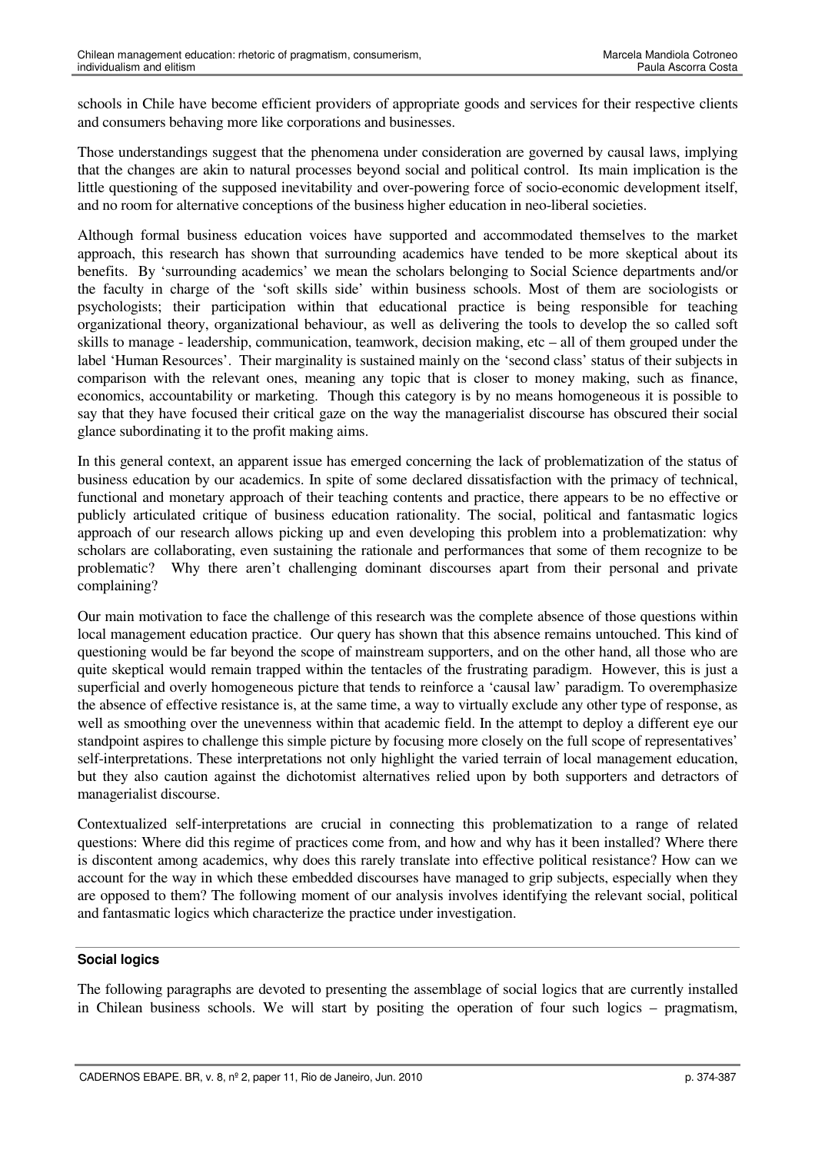schools in Chile have become efficient providers of appropriate goods and services for their respective clients and consumers behaving more like corporations and businesses.

Those understandings suggest that the phenomena under consideration are governed by causal laws, implying that the changes are akin to natural processes beyond social and political control. Its main implication is the little questioning of the supposed inevitability and over-powering force of socio-economic development itself, and no room for alternative conceptions of the business higher education in neo-liberal societies.

Although formal business education voices have supported and accommodated themselves to the market approach, this research has shown that surrounding academics have tended to be more skeptical about its benefits. By 'surrounding academics' we mean the scholars belonging to Social Science departments and/or the faculty in charge of the 'soft skills side' within business schools. Most of them are sociologists or psychologists; their participation within that educational practice is being responsible for teaching organizational theory, organizational behaviour, as well as delivering the tools to develop the so called soft skills to manage - leadership, communication, teamwork, decision making, etc – all of them grouped under the label 'Human Resources'. Their marginality is sustained mainly on the 'second class' status of their subjects in comparison with the relevant ones, meaning any topic that is closer to money making, such as finance, economics, accountability or marketing. Though this category is by no means homogeneous it is possible to say that they have focused their critical gaze on the way the managerialist discourse has obscured their social glance subordinating it to the profit making aims.

In this general context, an apparent issue has emerged concerning the lack of problematization of the status of business education by our academics. In spite of some declared dissatisfaction with the primacy of technical, functional and monetary approach of their teaching contents and practice, there appears to be no effective or publicly articulated critique of business education rationality. The social, political and fantasmatic logics approach of our research allows picking up and even developing this problem into a problematization: why scholars are collaborating, even sustaining the rationale and performances that some of them recognize to be problematic? Why there aren't challenging dominant discourses apart from their personal and private complaining?

Our main motivation to face the challenge of this research was the complete absence of those questions within local management education practice. Our query has shown that this absence remains untouched. This kind of questioning would be far beyond the scope of mainstream supporters, and on the other hand, all those who are quite skeptical would remain trapped within the tentacles of the frustrating paradigm. However, this is just a superficial and overly homogeneous picture that tends to reinforce a 'causal law' paradigm. To overemphasize the absence of effective resistance is, at the same time, a way to virtually exclude any other type of response, as well as smoothing over the unevenness within that academic field. In the attempt to deploy a different eye our standpoint aspires to challenge this simple picture by focusing more closely on the full scope of representatives' self-interpretations. These interpretations not only highlight the varied terrain of local management education, but they also caution against the dichotomist alternatives relied upon by both supporters and detractors of managerialist discourse.

Contextualized self-interpretations are crucial in connecting this problematization to a range of related questions: Where did this regime of practices come from, and how and why has it been installed? Where there is discontent among academics, why does this rarely translate into effective political resistance? How can we account for the way in which these embedded discourses have managed to grip subjects, especially when they are opposed to them? The following moment of our analysis involves identifying the relevant social, political and fantasmatic logics which characterize the practice under investigation.

# **Social logics**

The following paragraphs are devoted to presenting the assemblage of social logics that are currently installed in Chilean business schools. We will start by positing the operation of four such logics – pragmatism,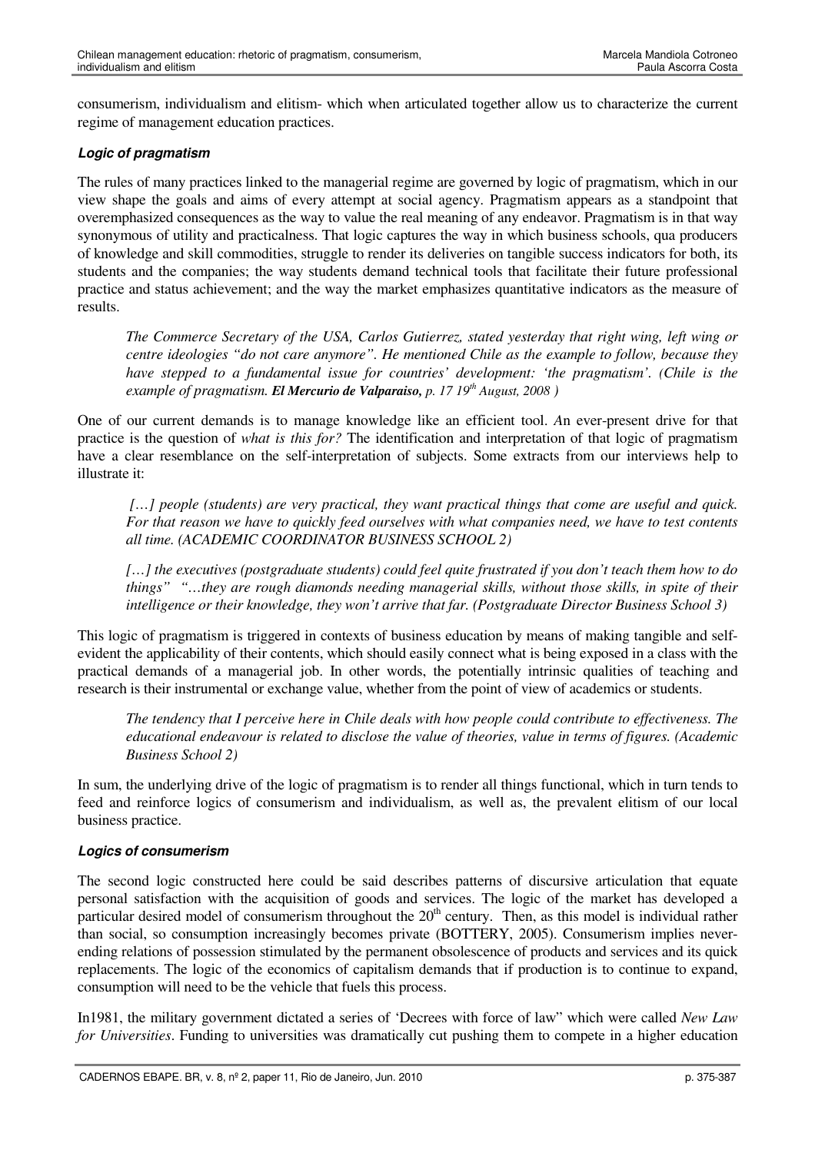consumerism, individualism and elitism- which when articulated together allow us to characterize the current regime of management education practices.

# *Logic of pragmatism*

The rules of many practices linked to the managerial regime are governed by logic of pragmatism, which in our view shape the goals and aims of every attempt at social agency. Pragmatism appears as a standpoint that overemphasized consequences as the way to value the real meaning of any endeavor. Pragmatism is in that way synonymous of utility and practicalness. That logic captures the way in which business schools, qua producers of knowledge and skill commodities, struggle to render its deliveries on tangible success indicators for both, its students and the companies; the way students demand technical tools that facilitate their future professional practice and status achievement; and the way the market emphasizes quantitative indicators as the measure of results.

*The Commerce Secretary of the USA, Carlos Gutierrez, stated yesterday that right wing, left wing or centre ideologies "do not care anymore". He mentioned Chile as the example to follow, because they have stepped to a fundamental issue for countries' development: 'the pragmatism'. (Chile is the example of pragmatism. El Mercurio de Valparaiso, p. 17 19 th August, 2008 )*

One of our current demands is to manage knowledge like an efficient tool. *A*n ever-present drive for that practice is the question of *what is this for?* The identification and interpretation of that logic of pragmatism have a clear resemblance on the self-interpretation of subjects. Some extracts from our interviews help to illustrate it:

*[…] people (students) are very practical, they want practical things that come are useful and quick.* For that reason we have to quickly feed ourselves with what companies need, we have to test contents *all time. (ACADEMIC COORDINATOR BUSINESS SCHOOL 2)*

*[…] the executives (postgraduate students) could feel quite frustrated if you don't teach them how to do things" "…they are rough diamonds needing managerial skills, without those skills, in spite of their intelligence or their knowledge, they won't arrive that far. (Postgraduate Director Business School 3)*

This logic of pragmatism is triggered in contexts of business education by means of making tangible and selfevident the applicability of their contents, which should easily connect what is being exposed in a class with the practical demands of a managerial job. In other words, the potentially intrinsic qualities of teaching and research is their instrumental or exchange value, whether from the point of view of academics or students.

*The tendency that I perceive here in Chile deals with how people could contribute to effectiveness. The educational endeavour is related to disclose the value of theories, value in terms of figures. (Academic Business School 2)*

In sum, the underlying drive of the logic of pragmatism is to render all things functional, which in turn tends to feed and reinforce logics of consumerism and individualism, as well as, the prevalent elitism of our local business practice.

#### *Logics of consumerism*

The second logic constructed here could be said describes patterns of discursive articulation that equate personal satisfaction with the acquisition of goods and services. The logic of the market has developed a particular desired model of consumerism throughout the  $20<sup>th</sup>$  century. Then, as this model is individual rather than social, so consumption increasingly becomes private (BOTTERY, 2005). Consumerism implies neverending relations of possession stimulated by the permanent obsolescence of products and services and its quick replacements. The logic of the economics of capitalism demands that if production is to continue to expand, consumption will need to be the vehicle that fuels this process.

In1981, the military government dictated a series of 'Decrees with force of law" which were called *New Law for Universities*. Funding to universities was dramatically cut pushing them to compete in a higher education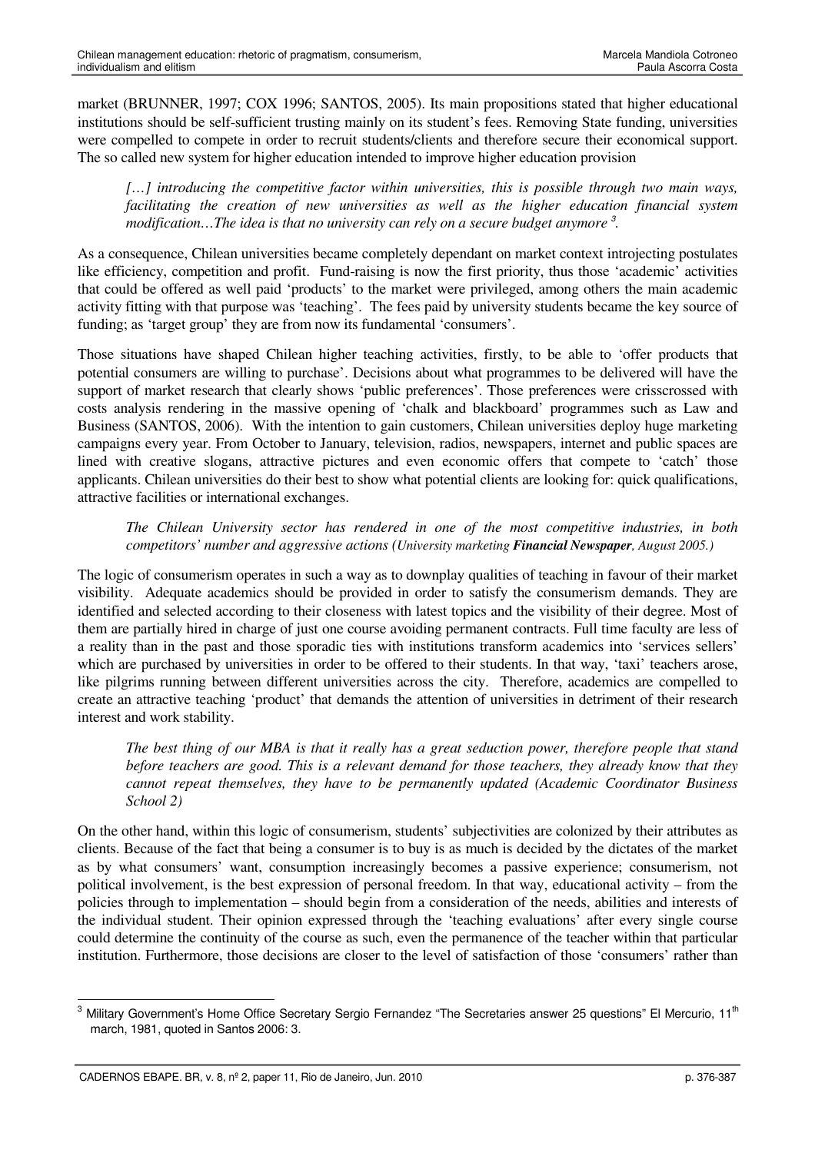market (BRUNNER, 1997; COX 1996; SANTOS, 2005). Its main propositions stated that higher educational institutions should be self-sufficient trusting mainly on its student's fees. Removing State funding, universities were compelled to compete in order to recruit students/clients and therefore secure their economical support. The so called new system for higher education intended to improve higher education provision

*[…] introducing the competitive factor within universities, this is possible through two main ways, facilitating the creation of new universities as well as the higher education financial system modification…The idea is that no university can rely on a secure budget anymore 3 .*

As a consequence, Chilean universities became completely dependant on market context introjecting postulates like efficiency, competition and profit. Fund-raising is now the first priority, thus those 'academic' activities that could be offered as well paid 'products' to the market were privileged, among others the main academic activity fitting with that purpose was 'teaching'. The fees paid by university students became the key source of funding; as 'target group' they are from now its fundamental 'consumers'.

Those situations have shaped Chilean higher teaching activities, firstly, to be able to 'offer products that potential consumers are willing to purchase'. Decisions about what programmes to be delivered will have the support of market research that clearly shows 'public preferences'. Those preferences were crisscrossed with costs analysis rendering in the massive opening of 'chalk and blackboard' programmes such as Law and Business (SANTOS, 2006). With the intention to gain customers, Chilean universities deploy huge marketing campaigns every year. From October to January, television, radios, newspapers, internet and public spaces are lined with creative slogans, attractive pictures and even economic offers that compete to 'catch' those applicants. Chilean universities do their best to show what potential clients are looking for: quick qualifications, attractive facilities or international exchanges.

## *The Chilean University sector has rendered in one of the most competitive industries, in both competitors' number and aggressive actions (University marketing Financial Newspaper, August 2005.)*

The logic of consumerism operates in such a way as to downplay qualities of teaching in favour of their market visibility. Adequate academics should be provided in order to satisfy the consumerism demands. They are identified and selected according to their closeness with latest topics and the visibility of their degree. Most of them are partially hired in charge of just one course avoiding permanent contracts. Full time faculty are less of a reality than in the past and those sporadic ties with institutions transform academics into 'services sellers' which are purchased by universities in order to be offered to their students. In that way, 'taxi' teachers arose, like pilgrims running between different universities across the city. Therefore, academics are compelled to create an attractive teaching 'product' that demands the attention of universities in detriment of their research interest and work stability.

The best thing of our MBA is that it really has a great seduction power, therefore people that stand *before teachers are good. This is a relevant demand for those teachers, they already know that they cannot repeat themselves, they have to be permanently updated (Academic Coordinator Business School 2)*

On the other hand, within this logic of consumerism, students' subjectivities are colonized by their attributes as clients. Because of the fact that being a consumer is to buy is as much is decided by the dictates of the market as by what consumers' want, consumption increasingly becomes a passive experience; consumerism, not political involvement, is the best expression of personal freedom. In that way, educational activity – from the policies through to implementation – should begin from a consideration of the needs, abilities and interests of the individual student. Their opinion expressed through the 'teaching evaluations' after every single course could determine the continuity of the course as such, even the permanence of the teacher within that particular institution. Furthermore, those decisions are closer to the level of satisfaction of those 'consumers' rather than

<sup>&</sup>lt;sup>3</sup> Military Government's Home Office Secretary Sergio Fernandez "The Secretaries answer 25 questions" El Mercurio, 11<sup>th</sup> march, 1981, quoted in Santos 2006: 3.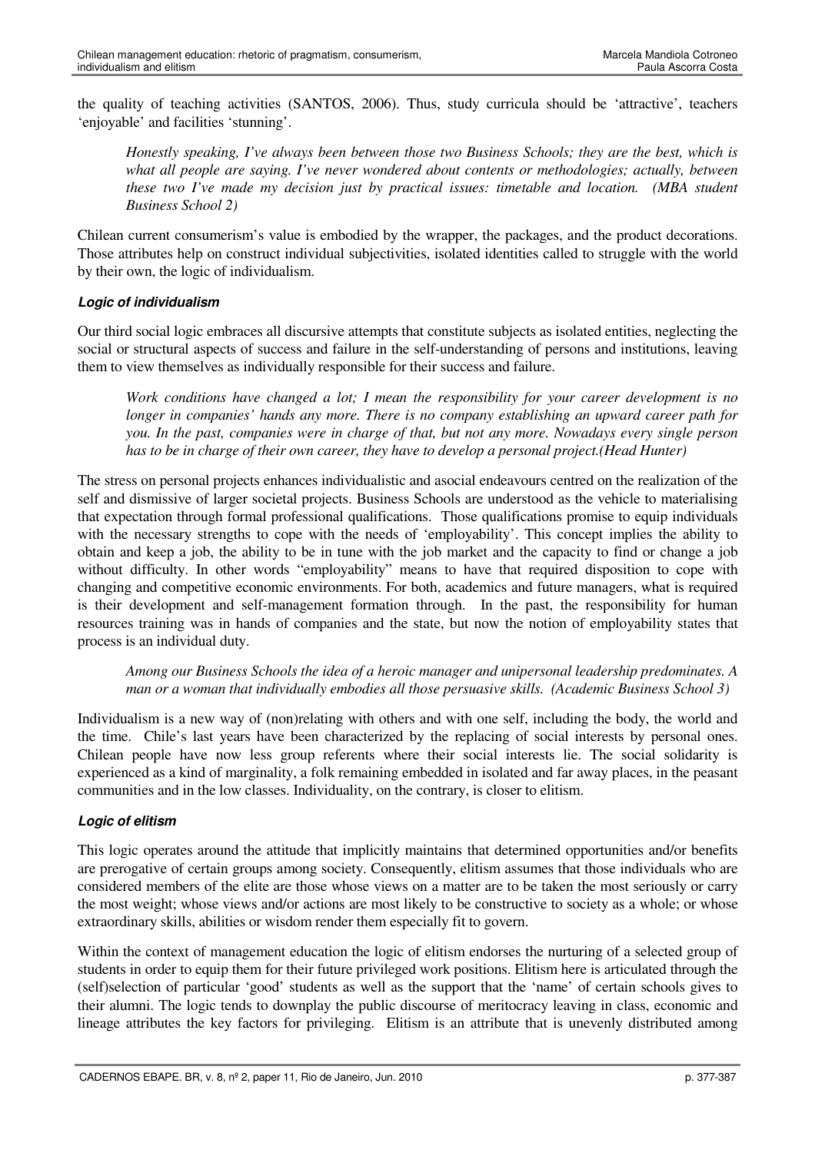the quality of teaching activities (SANTOS, 2006). Thus, study curricula should be 'attractive', teachers 'enjoyable' and facilities 'stunning'.

*Honestly speaking, I've always been between those two Business Schools; they are the best, which is what all people are saying. I've never wondered about contents or methodologies; actually, between these two I've made my decision just by practical issues: timetable and location. (MBA student Business School 2)*

Chilean current consumerism's value is embodied by the wrapper, the packages, and the product decorations. Those attributes help on construct individual subjectivities, isolated identities called to struggle with the world by their own, the logic of individualism.

# *Logic of individualism*

Our third social logic embraces all discursive attempts that constitute subjects as isolated entities, neglecting the social or structural aspects of success and failure in the self-understanding of persons and institutions, leaving them to view themselves as individually responsible for their success and failure.

*Work conditions have changed a lot; I mean the responsibility for your career development is no longer in companies' hands any more. There is no company establishing an upward career path for you. In the past, companies were in charge of that, but not any more. Nowadays every single person has to be in charge of their own career, they have to develop a personal project.(Head Hunter)*

The stress on personal projects enhances individualistic and asocial endeavours centred on the realization of the self and dismissive of larger societal projects. Business Schools are understood as the vehicle to materialising that expectation through formal professional qualifications. Those qualifications promise to equip individuals with the necessary strengths to cope with the needs of 'employability'. This concept implies the ability to obtain and keep a job, the ability to be in tune with the job market and the capacity to find or change a job without difficulty. In other words "employability" means to have that required disposition to cope with changing and competitive economic environments. For both, academics and future managers, what is required is their development and self-management formation through. In the past, the responsibility for human resources training was in hands of companies and the state, but now the notion of employability states that process is an individual duty.

*Among our Business Schools the idea of a heroic manager and unipersonal leadership predominates. A man or a woman that individually embodies all those persuasive skills. (Academic Business School 3)*

Individualism is a new way of (non)relating with others and with one self, including the body, the world and the time. Chile's last years have been characterized by the replacing of social interests by personal ones. Chilean people have now less group referents where their social interests lie. The social solidarity is experienced as a kind of marginality, a folk remaining embedded in isolated and far away places, in the peasant communities and in the low classes. Individuality, on the contrary, is closer to elitism.

# *Logic of elitism*

This logic operates around the attitude that implicitly maintains that determined opportunities and/or benefits are prerogative of certain groups among society. Consequently, elitism assumes that those individuals who are considered members of the elite are those whose views on a matter are to be taken the most seriously or carry the most weight; whose views and/or actions are most likely to be constructive to society as a whole; or whose extraordinary skills, abilities or wisdom render them especially fit to govern.

Within the context of management education the logic of elitism endorses the nurturing of a selected group of students in order to equip them for their future privileged work positions. Elitism here is articulated through the (self)selection of particular 'good' students as well as the support that the 'name' of certain schools gives to their alumni. The logic tends to downplay the public discourse of meritocracy leaving in class, economic and lineage attributes the key factors for privileging. Elitism is an attribute that is unevenly distributed among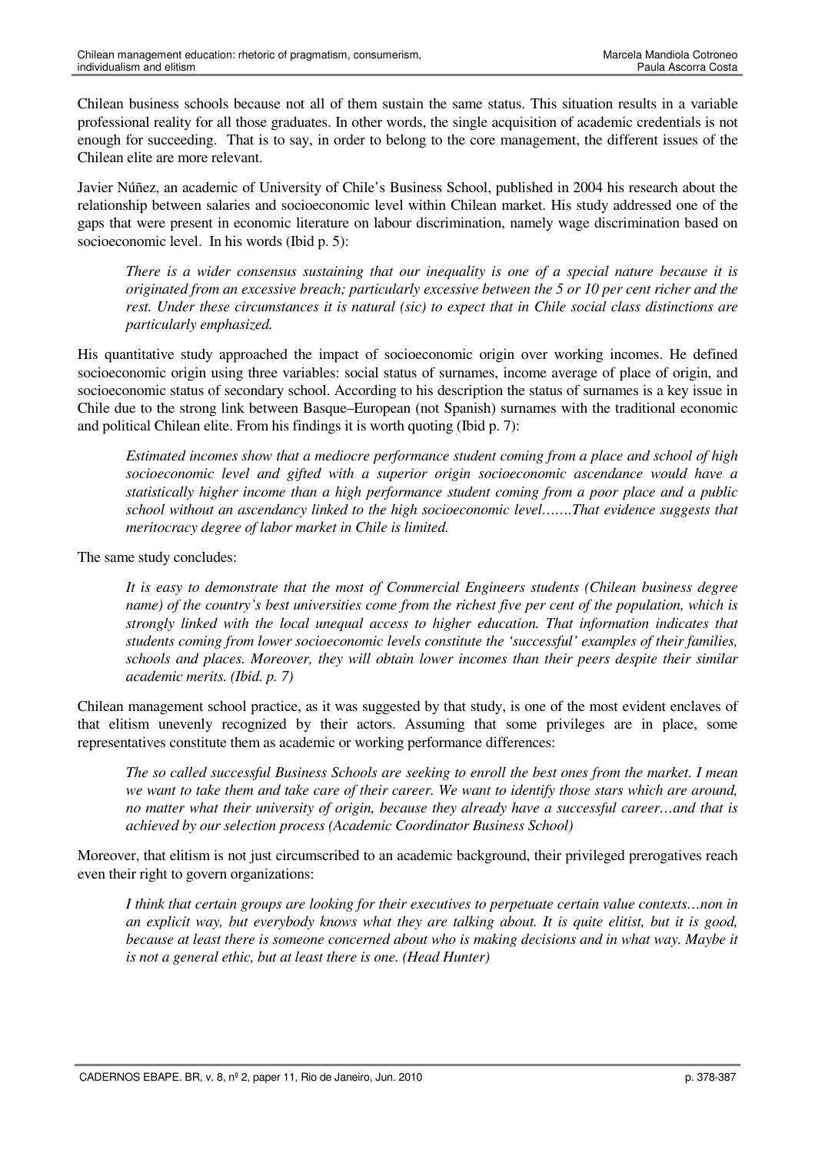Chilean business schools because not all of them sustain the same status. This situation results in a variable professional reality for all those graduates. In other words, the single acquisition of academic credentials is not enough for succeeding. That is to say, in order to belong to the core management, the different issues of the Chilean elite are more relevant.

Javier Núñez, an academic of University of Chile's Business School, published in 2004 his research about the relationship between salaries and socioeconomic level within Chilean market. His study addressed one of the gaps that were present in economic literature on labour discrimination, namely wage discrimination based on socioeconomic level. In his words (Ibid p. 5):

*There is a wider consensus sustaining that our inequality is one of a special nature because it is originated from an excessive breach; particularly excessive between the 5 or 10 per cent richer and the rest. Under these circumstances it is natural (sic) to expect that in Chile social class distinctions are particularly emphasized.*

His quantitative study approached the impact of socioeconomic origin over working incomes. He defined socioeconomic origin using three variables: social status of surnames, income average of place of origin, and socioeconomic status of secondary school. According to his description the status of surnames is a key issue in Chile due to the strong link between Basque–European (not Spanish) surnames with the traditional economic and political Chilean elite. From his findings it is worth quoting (Ibid p. 7):

*Estimated incomes show that a mediocre performance student coming from a place and school of high socioeconomic level and gifted with a superior origin socioeconomic ascendance would have a statistically higher income than a high performance student coming from a poor place and a public school without an ascendancy linked to the high socioeconomic level…….That evidence suggests that meritocracy degree of labor market in Chile is limited.*

The same study concludes:

*It is easy to demonstrate that the most of Commercial Engineers students (Chilean business degree* name) of the country's best universities come from the richest five per cent of the population, which is *strongly linked with the local unequal access to higher education. That information indicates that students coming from lower socioeconomic levels constitute the 'successful' examples of their families, schools and places. Moreover, they will obtain lower incomes than their peers despite their similar academic merits. (Ibid. p. 7)*

Chilean management school practice, as it was suggested by that study, is one of the most evident enclaves of that elitism unevenly recognized by their actors. Assuming that some privileges are in place, some representatives constitute them as academic or working performance differences:

The so called successful Business Schools are seeking to enroll the best ones from the market. I mean we want to take them and take care of their career. We want to identify those stars which are around, *no matter what their university of origin, because they already have a successful career…and that is achieved by our selection process (Academic Coordinator Business School)*

Moreover, that elitism is not just circumscribed to an academic background, their privileged prerogatives reach even their right to govern organizations:

*I think that certain groups are looking for their executives to perpetuate certain value contexts…non in* an explicit way, but everybody knows what they are talking about. It is quite elitist, but it is good, because at least there is someone concerned about who is making decisions and in what way. Maybe it *is not a general ethic, but at least there is one. (Head Hunter)*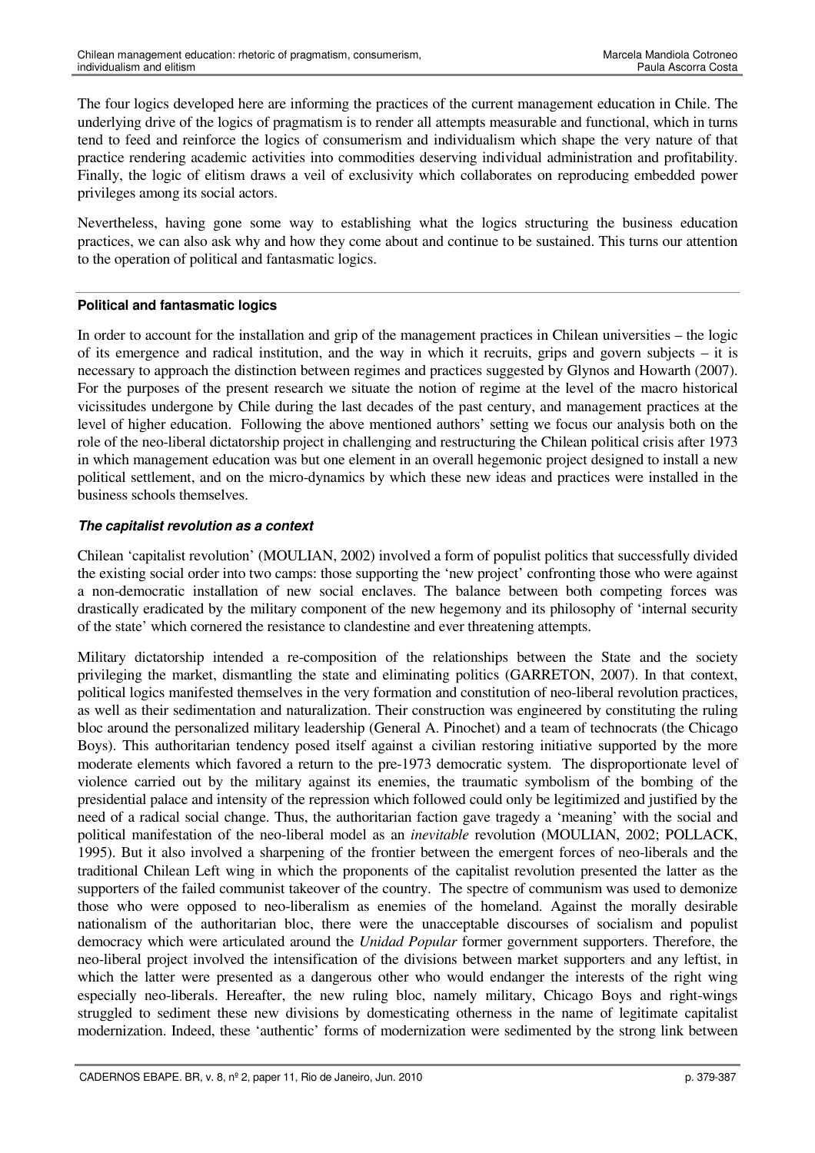The four logics developed here are informing the practices of the current management education in Chile. The underlying drive of the logics of pragmatism is to render all attempts measurable and functional, which in turns tend to feed and reinforce the logics of consumerism and individualism which shape the very nature of that practice rendering academic activities into commodities deserving individual administration and profitability. Finally, the logic of elitism draws a veil of exclusivity which collaborates on reproducing embedded power privileges among its social actors.

Nevertheless, having gone some way to establishing what the logics structuring the business education practices, we can also ask why and how they come about and continue to be sustained. This turns our attention to the operation of political and fantasmatic logics.

# **Political and fantasmatic logics**

In order to account for the installation and grip of the management practices in Chilean universities – the logic of its emergence and radical institution, and the way in which it recruits, grips and govern subjects – it is necessary to approach the distinction between regimes and practices suggested by Glynos and Howarth (2007). For the purposes of the present research we situate the notion of regime at the level of the macro historical vicissitudes undergone by Chile during the last decades of the past century, and management practices at the level of higher education. Following the above mentioned authors' setting we focus our analysis both on the role of the neo-liberal dictatorship project in challenging and restructuring the Chilean political crisis after 1973 in which management education was but one element in an overall hegemonic project designed to install a new political settlement, and on the micro-dynamics by which these new ideas and practices were installed in the business schools themselves.

## *The capitalist revolution as a context*

Chilean 'capitalist revolution' (MOULIAN, 2002) involved a form of populist politics that successfully divided the existing social order into two camps: those supporting the 'new project' confronting those who were against a non-democratic installation of new social enclaves. The balance between both competing forces was drastically eradicated by the military component of the new hegemony and its philosophy of 'internal security of the state' which cornered the resistance to clandestine and ever threatening attempts.

Military dictatorship intended a re-composition of the relationships between the State and the society privileging the market, dismantling the state and eliminating politics (GARRETON, 2007). In that context, political logics manifested themselves in the very formation and constitution of neo-liberal revolution practices, as well as their sedimentation and naturalization. Their construction was engineered by constituting the ruling bloc around the personalized military leadership (General A. Pinochet) and a team of technocrats (the Chicago Boys). This authoritarian tendency posed itself against a civilian restoring initiative supported by the more moderate elements which favored a return to the pre-1973 democratic system. The disproportionate level of violence carried out by the military against its enemies, the traumatic symbolism of the bombing of the presidential palace and intensity of the repression which followed could only be legitimized and justified by the need of a radical social change. Thus, the authoritarian faction gave tragedy a 'meaning' with the social and political manifestation of the neo-liberal model as an *inevitable* revolution (MOULIAN, 2002; POLLACK, 1995). But it also involved a sharpening of the frontier between the emergent forces of neo-liberals and the traditional Chilean Left wing in which the proponents of the capitalist revolution presented the latter as the supporters of the failed communist takeover of the country. The spectre of communism was used to demonize those who were opposed to neo-liberalism as enemies of the homeland. Against the morally desirable nationalism of the authoritarian bloc, there were the unacceptable discourses of socialism and populist democracy which were articulated around the *Unidad Popular* former government supporters. Therefore, the neo-liberal project involved the intensification of the divisions between market supporters and any leftist, in which the latter were presented as a dangerous other who would endanger the interests of the right wing especially neo-liberals. Hereafter, the new ruling bloc, namely military, Chicago Boys and right-wings struggled to sediment these new divisions by domesticating otherness in the name of legitimate capitalist modernization. Indeed, these 'authentic' forms of modernization were sedimented by the strong link between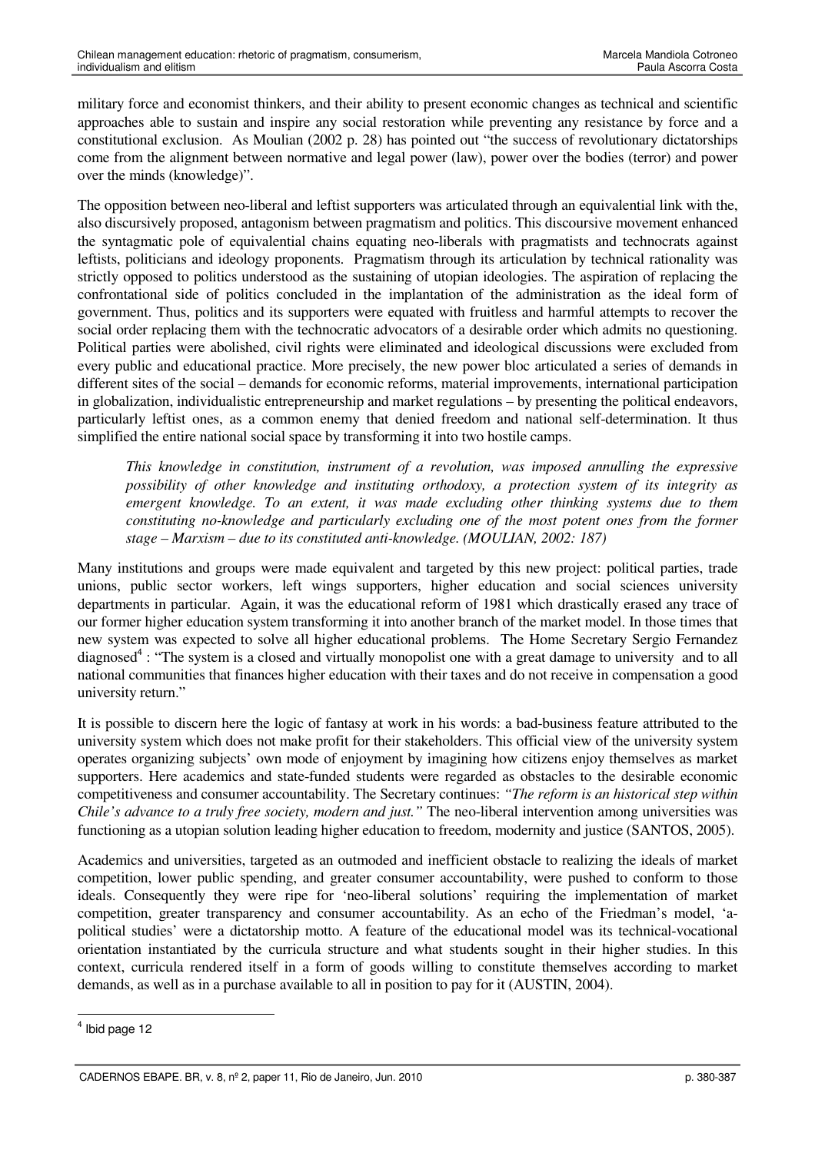military force and economist thinkers, and their ability to present economic changes as technical and scientific approaches able to sustain and inspire any social restoration while preventing any resistance by force and a constitutional exclusion. As Moulian (2002 p. 28) has pointed out "the success of revolutionary dictatorships come from the alignment between normative and legal power (law), power over the bodies (terror) and power over the minds (knowledge)".

The opposition between neo-liberal and leftist supporters was articulated through an equivalential link with the, also discursively proposed, antagonism between pragmatism and politics. This discoursive movement enhanced the syntagmatic pole of equivalential chains equating neo-liberals with pragmatists and technocrats against leftists, politicians and ideology proponents. Pragmatism through its articulation by technical rationality was strictly opposed to politics understood as the sustaining of utopian ideologies. The aspiration of replacing the confrontational side of politics concluded in the implantation of the administration as the ideal form of government. Thus, politics and its supporters were equated with fruitless and harmful attempts to recover the social order replacing them with the technocratic advocators of a desirable order which admits no questioning. Political parties were abolished, civil rights were eliminated and ideological discussions were excluded from every public and educational practice. More precisely, the new power bloc articulated a series of demands in different sites of the social – demands for economic reforms, material improvements, international participation in globalization, individualistic entrepreneurship and market regulations – by presenting the political endeavors, particularly leftist ones, as a common enemy that denied freedom and national self-determination. It thus simplified the entire national social space by transforming it into two hostile camps.

*This knowledge in constitution, instrument of a revolution, was imposed annulling the expressive possibility of other knowledge and instituting orthodoxy, a protection system of its integrity as emergent knowledge. To an extent, it was made excluding other thinking systems due to them constituting no-knowledge and particularly excluding one of the most potent ones from the former stage – Marxism – due to its constituted anti-knowledge. (MOULIAN, 2002: 187)*

Many institutions and groups were made equivalent and targeted by this new project: political parties, trade unions, public sector workers, left wings supporters, higher education and social sciences university departments in particular. Again, it was the educational reform of 1981 which drastically erased any trace of our former higher education system transforming it into another branch of the market model. In those times that new system was expected to solve all higher educational problems. The Home Secretary Sergio Fernandez diagnosed<sup>4</sup>: "The system is a closed and virtually monopolist one with a great damage to university and to all national communities that finances higher education with their taxes and do not receive in compensation a good university return."

It is possible to discern here the logic of fantasy at work in his words: a bad-business feature attributed to the university system which does not make profit for their stakeholders. This official view of the university system operates organizing subjects' own mode of enjoyment by imagining how citizens enjoy themselves as market supporters. Here academics and state-funded students were regarded as obstacles to the desirable economic competitiveness and consumer accountability. The Secretary continues: *"The reform is an historical step within Chile's advance to a truly free society, modern and just."* The neo-liberal intervention among universities was functioning as a utopian solution leading higher education to freedom, modernity and justice (SANTOS, 2005).

Academics and universities, targeted as an outmoded and inefficient obstacle to realizing the ideals of market competition, lower public spending, and greater consumer accountability, were pushed to conform to those ideals. Consequently they were ripe for 'neo-liberal solutions' requiring the implementation of market competition, greater transparency and consumer accountability. As an echo of the Friedman's model, 'apolitical studies' were a dictatorship motto. A feature of the educational model was its technical-vocational orientation instantiated by the curricula structure and what students sought in their higher studies. In this context, curricula rendered itself in a form of goods willing to constitute themselves according to market demands, as well as in a purchase available to all in position to pay for it (AUSTIN, 2004).

<sup>4</sup> Ibid page 12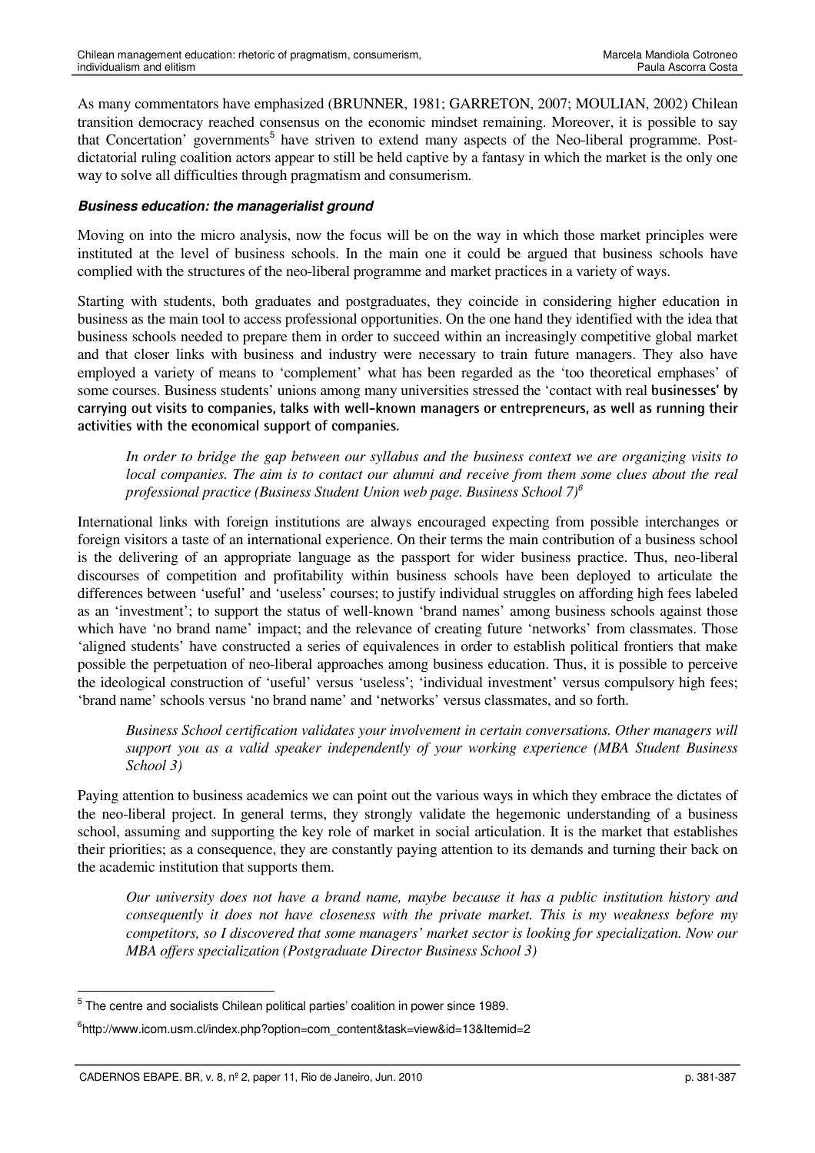As many commentators have emphasized (BRUNNER, 1981; GARRETON, 2007; MOULIAN, 2002) Chilean transition democracy reached consensus on the economic mindset remaining. Moreover, it is possible to say that Concertation' governments<sup>5</sup> have striven to extend many aspects of the Neo-liberal programme. Postdictatorial ruling coalition actors appear to still be held captive by a fantasy in which the market is the only one way to solve all difficulties through pragmatism and consumerism.

# *Business education: the managerialist ground*

Moving on into the micro analysis, now the focus will be on the way in which those market principles were instituted at the level of business schools. In the main one it could be argued that business schools have complied with the structures of the neo-liberal programme and market practices in a variety of ways.

Starting with students, both graduates and postgraduates, they coincide in considering higher education in business as the main tool to access professional opportunities. On the one hand they identified with the idea that business schools needed to prepare them in order to succeed within an increasingly competitive global market and that closer links with business and industry were necessary to train future managers. They also have employed a variety of means to 'complement' what has been regarded as the 'too theoretical emphases' of some courses. Business students' unions among many universities stressed the 'contact with real businesses' by carrying out visits to companies, talks with well-known managers or entrepreneurs, as well as running their activities with the economical support of companies.

In order to bridge the gap between our syllabus and the business context we are organizing visits to *local companies. The aim is to contact our alumni and receive from them some clues about the real professional practice (Business Student Union web page. Business School 7) 6*

International links with foreign institutions are always encouraged expecting from possible interchanges or foreign visitors a taste of an international experience. On their terms the main contribution of a business school is the delivering of an appropriate language as the passport for wider business practice. Thus, neo-liberal discourses of competition and profitability within business schools have been deployed to articulate the differences between 'useful' and 'useless' courses; to justify individual struggles on affording high fees labeled as an 'investment'; to support the status of well-known 'brand names' among business schools against those which have 'no brand name' impact; and the relevance of creating future 'networks' from classmates. Those 'aligned students' have constructed a series of equivalences in order to establish political frontiers that make possible the perpetuation of neo-liberal approaches among business education. Thus, it is possible to perceive the ideological construction of 'useful' versus 'useless'; 'individual investment' versus compulsory high fees; 'brand name' schools versus 'no brand name' and 'networks' versus classmates, and so forth.

*Business School certification validates your involvement in certain conversations. Other managers will support you as a valid speaker independently of your working experience (MBA Student Business School 3)*

Paying attention to business academics we can point out the various ways in which they embrace the dictates of the neo-liberal project. In general terms, they strongly validate the hegemonic understanding of a business school, assuming and supporting the key role of market in social articulation. It is the market that establishes their priorities; as a consequence, they are constantly paying attention to its demands and turning their back on the academic institution that supports them.

*Our university does not have a brand name, maybe because it has a public institution history and consequently it does not have closeness with the private market. This is my weakness before my competitors, so I discovered that some managers' market sector is looking for specialization. Now our MBA offers specialization (Postgraduate Director Business School 3)*

 $<sup>5</sup>$  The centre and socialists Chilean political parties' coalition in power since 1989.</sup>

<sup>6</sup> http://www.icom.usm.cl/index.php?option=com\_content&task=view&id=13&Itemid=2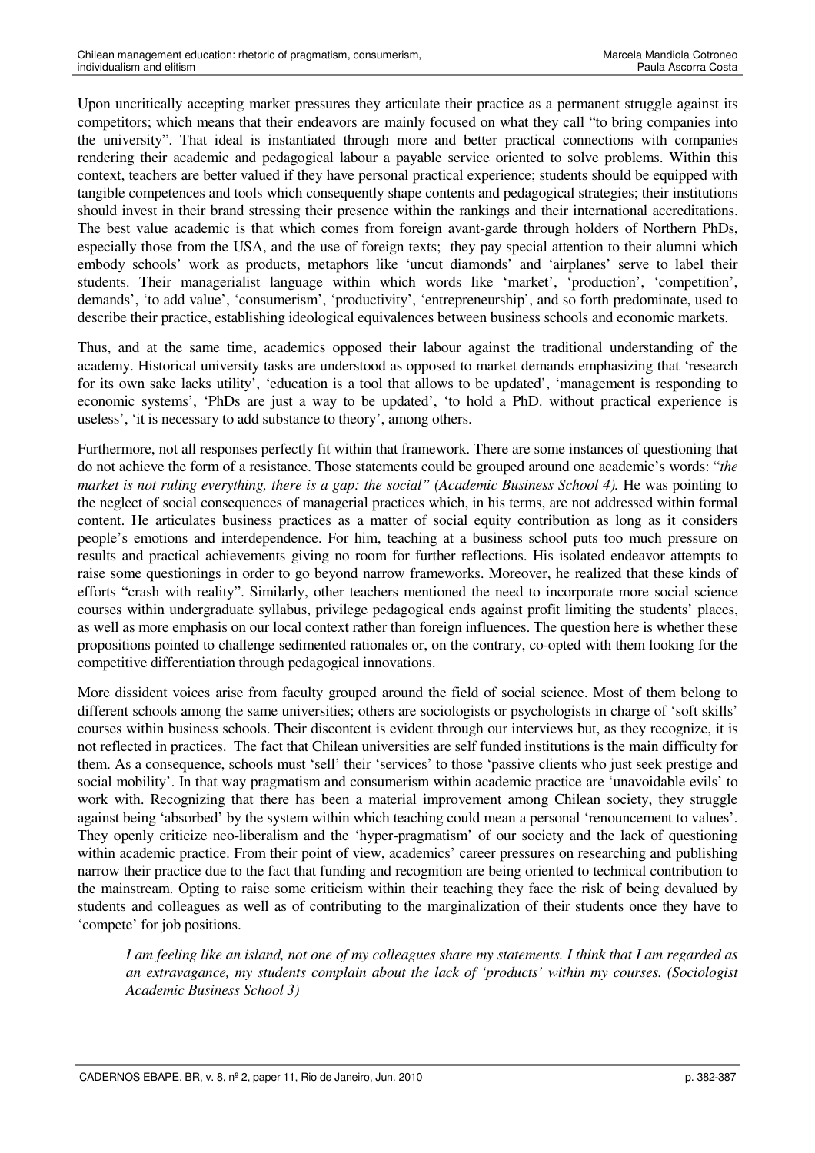Upon uncritically accepting market pressures they articulate their practice as a permanent struggle against its competitors; which means that their endeavors are mainly focused on what they call "to bring companies into the university". That ideal is instantiated through more and better practical connections with companies rendering their academic and pedagogical labour a payable service oriented to solve problems. Within this context, teachers are better valued if they have personal practical experience; students should be equipped with tangible competences and tools which consequently shape contents and pedagogical strategies; their institutions should invest in their brand stressing their presence within the rankings and their international accreditations. The best value academic is that which comes from foreign avant-garde through holders of Northern PhDs, especially those from the USA, and the use of foreign texts; they pay special attention to their alumni which embody schools' work as products, metaphors like 'uncut diamonds' and 'airplanes' serve to label their students. Their managerialist language within which words like 'market', 'production', 'competition', demands', 'to add value', 'consumerism', 'productivity', 'entrepreneurship', and so forth predominate, used to describe their practice, establishing ideological equivalences between business schools and economic markets.

Thus, and at the same time, academics opposed their labour against the traditional understanding of the academy. Historical university tasks are understood as opposed to market demands emphasizing that 'research for its own sake lacks utility', 'education is a tool that allows to be updated', 'management is responding to economic systems', 'PhDs are just a way to be updated', 'to hold a PhD. without practical experience is useless', 'it is necessary to add substance to theory', among others.

Furthermore, not all responses perfectly fit within that framework. There are some instances of questioning that do not achieve the form of a resistance. Those statements could be grouped around one academic's words: "*the market is not ruling everything, there is a gap: the social" (Academic Business School 4).* He was pointing to the neglect of social consequences of managerial practices which, in his terms, are not addressed within formal content. He articulates business practices as a matter of social equity contribution as long as it considers people's emotions and interdependence. For him, teaching at a business school puts too much pressure on results and practical achievements giving no room for further reflections. His isolated endeavor attempts to raise some questionings in order to go beyond narrow frameworks. Moreover, he realized that these kinds of efforts "crash with reality". Similarly, other teachers mentioned the need to incorporate more social science courses within undergraduate syllabus, privilege pedagogical ends against profit limiting the students' places, as well as more emphasis on our local context rather than foreign influences. The question here is whether these propositions pointed to challenge sedimented rationales or, on the contrary, co-opted with them looking for the competitive differentiation through pedagogical innovations.

More dissident voices arise from faculty grouped around the field of social science. Most of them belong to different schools among the same universities; others are sociologists or psychologists in charge of 'soft skills' courses within business schools. Their discontent is evident through our interviews but, as they recognize, it is not reflected in practices. The fact that Chilean universities are self funded institutions is the main difficulty for them. As a consequence, schools must 'sell' their 'services' to those 'passive clients who just seek prestige and social mobility'. In that way pragmatism and consumerism within academic practice are 'unavoidable evils' to work with. Recognizing that there has been a material improvement among Chilean society, they struggle against being 'absorbed' by the system within which teaching could mean a personal 'renouncement to values'. They openly criticize neo-liberalism and the 'hyper-pragmatism' of our society and the lack of questioning within academic practice. From their point of view, academics' career pressures on researching and publishing narrow their practice due to the fact that funding and recognition are being oriented to technical contribution to the mainstream. Opting to raise some criticism within their teaching they face the risk of being devalued by students and colleagues as well as of contributing to the marginalization of their students once they have to 'compete' for job positions.

I am feeling like an island, not one of my colleagues share my statements. I think that I am regarded as *an extravagance, my students complain about the lack of 'products' within my courses. (Sociologist Academic Business School 3)*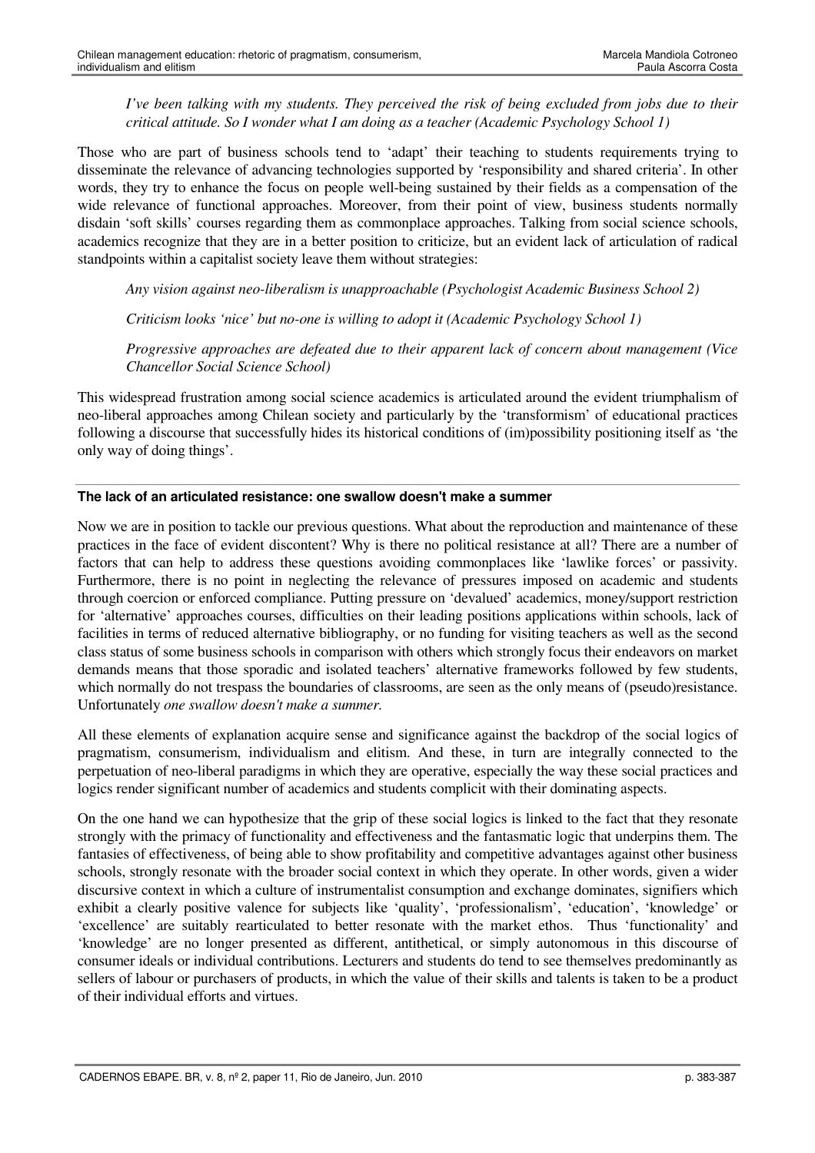I've been talking with my students. They perceived the risk of being excluded from jobs due to their *critical attitude. So I wonder what I am doing as a teacher (Academic Psychology School 1)*

Those who are part of business schools tend to 'adapt' their teaching to students requirements trying to disseminate the relevance of advancing technologies supported by 'responsibility and shared criteria'. In other words, they try to enhance the focus on people well-being sustained by their fields as a compensation of the wide relevance of functional approaches. Moreover, from their point of view, business students normally disdain 'soft skills' courses regarding them as commonplace approaches. Talking from social science schools, academics recognize that they are in a better position to criticize, but an evident lack of articulation of radical standpoints within a capitalist society leave them without strategies:

*Any vision against neo-liberalism is unapproachable (Psychologist Academic Business School 2)*

*Criticism looks 'nice' but no-one is willing to adopt it (Academic Psychology School 1)*

*Progressive approaches are defeated due to their apparent lack of concern about management (Vice Chancellor Social Science School)*

This widespread frustration among social science academics is articulated around the evident triumphalism of neo-liberal approaches among Chilean society and particularly by the 'transformism' of educational practices following a discourse that successfully hides its historical conditions of (im)possibility positioning itself as 'the only way of doing things'.

## **The lack of an articulated resistance: one swallow doesn't make a summer**

Now we are in position to tackle our previous questions. What about the reproduction and maintenance of these practices in the face of evident discontent? Why is there no political resistance at all? There are a number of factors that can help to address these questions avoiding commonplaces like 'lawlike forces' or passivity. Furthermore, there is no point in neglecting the relevance of pressures imposed on academic and students through coercion or enforced compliance. Putting pressure on 'devalued' academics, money/support restriction for 'alternative' approaches courses, difficulties on their leading positions applications within schools, lack of facilities in terms of reduced alternative bibliography, or no funding for visiting teachers as well as the second class status of some business schools in comparison with others which strongly focus their endeavors on market demands means that those sporadic and isolated teachers' alternative frameworks followed by few students, which normally do not trespass the boundaries of classrooms, are seen as the only means of (pseudo)resistance. Unfortunately *one swallow doesn't make a summer.*

All these elements of explanation acquire sense and significance against the backdrop of the social logics of pragmatism, consumerism, individualism and elitism. And these, in turn are integrally connected to the perpetuation of neo-liberal paradigms in which they are operative, especially the way these social practices and logics render significant number of academics and students complicit with their dominating aspects.

On the one hand we can hypothesize that the grip of these social logics is linked to the fact that they resonate strongly with the primacy of functionality and effectiveness and the fantasmatic logic that underpins them. The fantasies of effectiveness, of being able to show profitability and competitive advantages against other business schools, strongly resonate with the broader social context in which they operate. In other words, given a wider discursive context in which a culture of instrumentalist consumption and exchange dominates, signifiers which exhibit a clearly positive valence for subjects like 'quality', 'professionalism', 'education', 'knowledge' or 'excellence' are suitably rearticulated to better resonate with the market ethos. Thus 'functionality' and 'knowledge' are no longer presented as different, antithetical, or simply autonomous in this discourse of consumer ideals or individual contributions. Lecturers and students do tend to see themselves predominantly as sellers of labour or purchasers of products, in which the value of their skills and talents is taken to be a product of their individual efforts and virtues.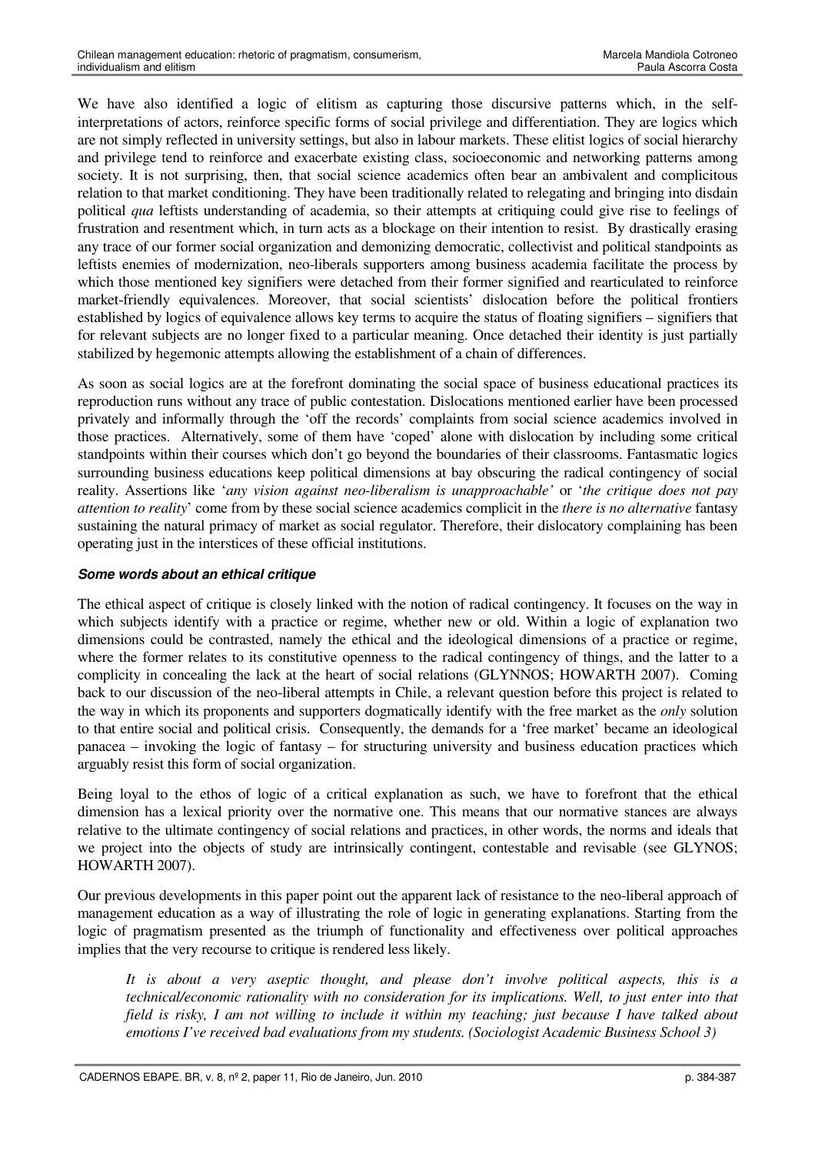We have also identified a logic of elitism as capturing those discursive patterns which, in the selfinterpretations of actors, reinforce specific forms of social privilege and differentiation. They are logics which are not simply reflected in university settings, but also in labour markets. These elitist logics of social hierarchy and privilege tend to reinforce and exacerbate existing class, socioeconomic and networking patterns among society. It is not surprising, then, that social science academics often bear an ambivalent and complicitous relation to that market conditioning. They have been traditionally related to relegating and bringing into disdain political *qua* leftists understanding of academia, so their attempts at critiquing could give rise to feelings of frustration and resentment which, in turn acts as a blockage on their intention to resist. By drastically erasing any trace of our former social organization and demonizing democratic, collectivist and political standpoints as leftists enemies of modernization, neo-liberals supporters among business academia facilitate the process by which those mentioned key signifiers were detached from their former signified and rearticulated to reinforce market-friendly equivalences. Moreover, that social scientists' dislocation before the political frontiers established by logics of equivalence allows key terms to acquire the status of floating signifiers – signifiers that for relevant subjects are no longer fixed to a particular meaning. Once detached their identity is just partially stabilized by hegemonic attempts allowing the establishment of a chain of differences.

As soon as social logics are at the forefront dominating the social space of business educational practices its reproduction runs without any trace of public contestation. Dislocations mentioned earlier have been processed privately and informally through the 'off the records' complaints from social science academics involved in those practices. Alternatively, some of them have 'coped' alone with dislocation by including some critical standpoints within their courses which don't go beyond the boundaries of their classrooms. Fantasmatic logics surrounding business educations keep political dimensions at bay obscuring the radical contingency of social reality. Assertions like '*any vision against neo-liberalism is unapproachable'* or '*the critique does not pay attention to reality*' come from by these social science academics complicit in the *there is no alternative* fantasy sustaining the natural primacy of market as social regulator. Therefore, their dislocatory complaining has been operating just in the interstices of these official institutions.

# *Some words about an ethical critique*

The ethical aspect of critique is closely linked with the notion of radical contingency. It focuses on the way in which subjects identify with a practice or regime, whether new or old. Within a logic of explanation two dimensions could be contrasted, namely the ethical and the ideological dimensions of a practice or regime, where the former relates to its constitutive openness to the radical contingency of things, and the latter to a complicity in concealing the lack at the heart of social relations (GLYNNOS; HOWARTH 2007). Coming back to our discussion of the neo-liberal attempts in Chile, a relevant question before this project is related to the way in which its proponents and supporters dogmatically identify with the free market as the *only* solution to that entire social and political crisis. Consequently, the demands for a 'free market' became an ideological panacea – invoking the logic of fantasy – for structuring university and business education practices which arguably resist this form of social organization.

Being loyal to the ethos of logic of a critical explanation as such, we have to forefront that the ethical dimension has a lexical priority over the normative one. This means that our normative stances are always relative to the ultimate contingency of social relations and practices, in other words, the norms and ideals that we project into the objects of study are intrinsically contingent, contestable and revisable (see GLYNOS; HOWARTH 2007).

Our previous developments in this paper point out the apparent lack of resistance to the neo-liberal approach of management education as a way of illustrating the role of logic in generating explanations. Starting from the logic of pragmatism presented as the triumph of functionality and effectiveness over political approaches implies that the very recourse to critique is rendered less likely.

*It is about a very aseptic thought, and please don't involve political aspects, this is a technical/economic rationality with no consideration for its implications. Well, to just enter into that* field is risky, I am not willing to include it within my teaching; just because I have talked about *emotions I've received bad evaluations from my students. (Sociologist Academic Business School 3)*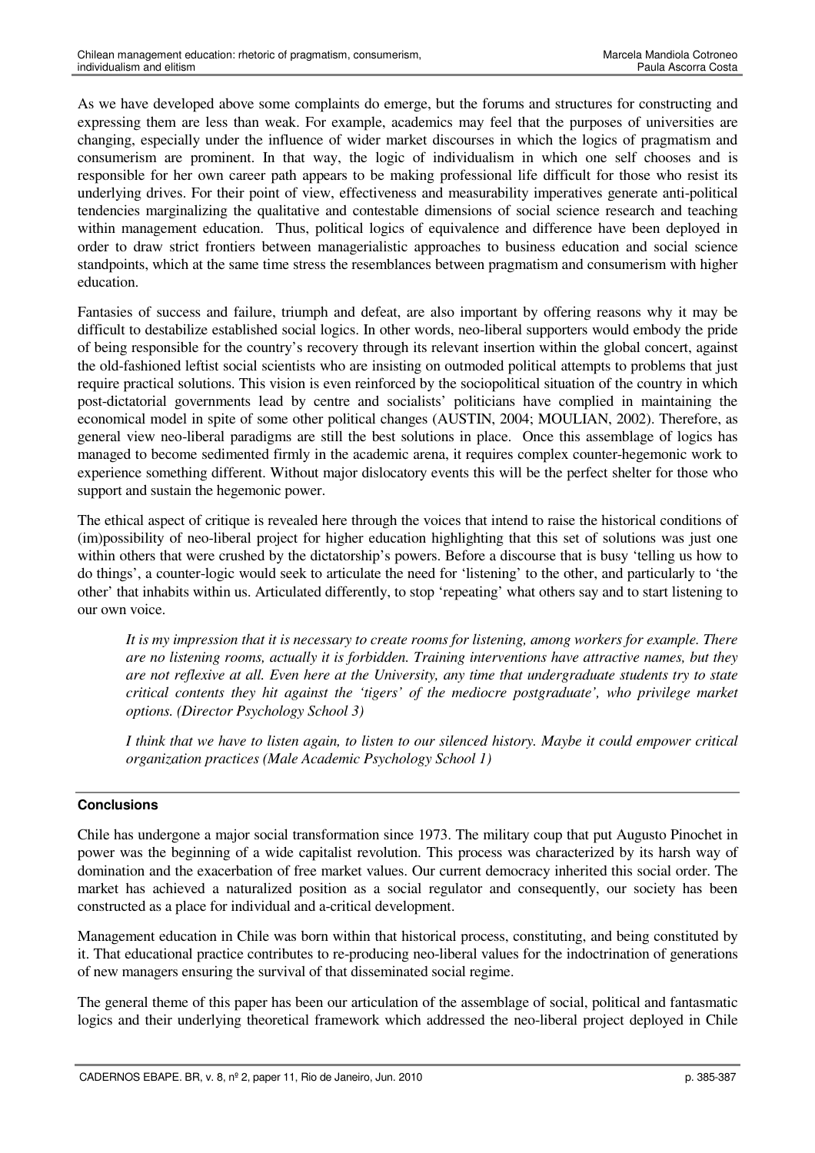As we have developed above some complaints do emerge, but the forums and structures for constructing and expressing them are less than weak. For example, academics may feel that the purposes of universities are changing, especially under the influence of wider market discourses in which the logics of pragmatism and consumerism are prominent. In that way, the logic of individualism in which one self chooses and is responsible for her own career path appears to be making professional life difficult for those who resist its underlying drives. For their point of view, effectiveness and measurability imperatives generate anti-political tendencies marginalizing the qualitative and contestable dimensions of social science research and teaching within management education. Thus, political logics of equivalence and difference have been deployed in order to draw strict frontiers between managerialistic approaches to business education and social science standpoints, which at the same time stress the resemblances between pragmatism and consumerism with higher education.

Fantasies of success and failure, triumph and defeat, are also important by offering reasons why it may be difficult to destabilize established social logics. In other words, neo-liberal supporters would embody the pride of being responsible for the country's recovery through its relevant insertion within the global concert, against the old-fashioned leftist social scientists who are insisting on outmoded political attempts to problems that just require practical solutions. This vision is even reinforced by the sociopolitical situation of the country in which post-dictatorial governments lead by centre and socialists' politicians have complied in maintaining the economical model in spite of some other political changes (AUSTIN, 2004; MOULIAN, 2002). Therefore, as general view neo-liberal paradigms are still the best solutions in place. Once this assemblage of logics has managed to become sedimented firmly in the academic arena, it requires complex counter-hegemonic work to experience something different. Without major dislocatory events this will be the perfect shelter for those who support and sustain the hegemonic power.

The ethical aspect of critique is revealed here through the voices that intend to raise the historical conditions of (im)possibility of neo-liberal project for higher education highlighting that this set of solutions was just one within others that were crushed by the dictatorship's powers. Before a discourse that is busy 'telling us how to do things', a counter-logic would seek to articulate the need for 'listening' to the other, and particularly to 'the other' that inhabits within us. Articulated differently, to stop 'repeating' what others say and to start listening to our own voice.

It is my impression that it is necessary to create rooms for listening, among workers for example. There *are no listening rooms, actually it is forbidden. Training interventions have attractive names, but they* are not reflexive at all. Even here at the University, any time that undergraduate students try to state *critical contents they hit against the 'tigers' of the mediocre postgraduate', who privilege market options. (Director Psychology School 3)*

I think that we have to listen again, to listen to our silenced history. Maybe it could empower critical *organization practices (Male Academic Psychology School 1)*

# **Conclusions**

Chile has undergone a major social transformation since 1973. The military coup that put Augusto Pinochet in power was the beginning of a wide capitalist revolution. This process was characterized by its harsh way of domination and the exacerbation of free market values. Our current democracy inherited this social order. The market has achieved a naturalized position as a social regulator and consequently, our society has been constructed as a place for individual and a-critical development.

Management education in Chile was born within that historical process, constituting, and being constituted by it. That educational practice contributes to re-producing neo-liberal values for the indoctrination of generations of new managers ensuring the survival of that disseminated social regime.

The general theme of this paper has been our articulation of the assemblage of social, political and fantasmatic logics and their underlying theoretical framework which addressed the neo-liberal project deployed in Chile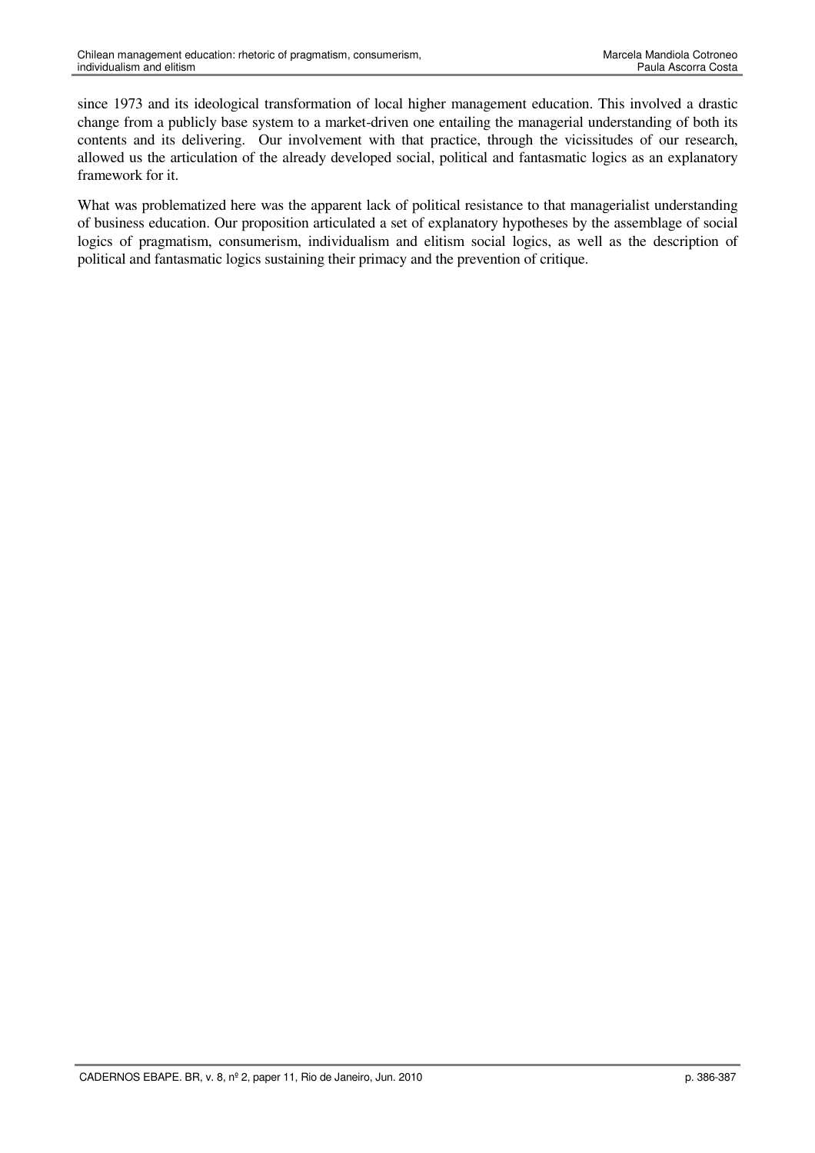since 1973 and its ideological transformation of local higher management education. This involved a drastic change from a publicly base system to a market-driven one entailing the managerial understanding of both its contents and its delivering. Our involvement with that practice, through the vicissitudes of our research, allowed us the articulation of the already developed social, political and fantasmatic logics as an explanatory framework for it.

What was problematized here was the apparent lack of political resistance to that managerialist understanding of business education. Our proposition articulated a set of explanatory hypotheses by the assemblage of social logics of pragmatism, consumerism, individualism and elitism social logics, as well as the description of political and fantasmatic logics sustaining their primacy and the prevention of critique.